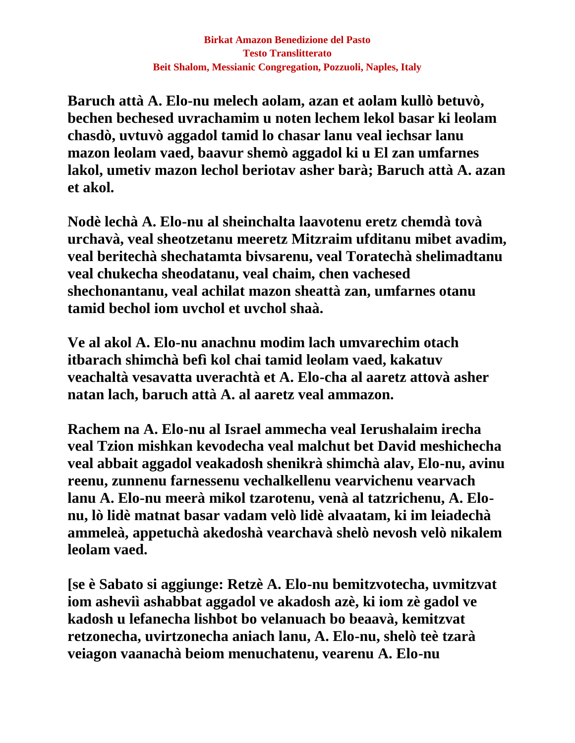**Baruch attà A. Elo-nu melech aolam, azan et aolam kullò betuvò, bechen bechesed uvrachamim u noten lechem lekol basar ki leolam chasdò, uvtuvò aggadol tamid lo chasar lanu veal iechsar lanu mazon leolam vaed, baavur shemò aggadol ki u El zan umfarnes lakol, umetiv mazon lechol beriotav asher barà; Baruch attà A. azan et akol.**

**Nodè lechà A. Elo-nu al sheinchalta laavotenu eretz chemdà tovà urchavà, veal sheotzetanu meeretz Mitzraim ufditanu mibet avadim, veal beritechà shechatamta bivsarenu, veal Toratechà shelimadtanu veal chukecha sheodatanu, veal chaim, chen vachesed shechonantanu, veal achilat mazon sheattà zan, umfarnes otanu tamid bechol iom uvchol et uvchol shaà.**

**Ve al akol A. Elo-nu anachnu modim lach umvarechim otach itbarach shimchà befì kol chai tamid leolam vaed, kakatuv veachaltà vesavatta uverachtà et A. Elo-cha al aaretz attovà asher natan lach, baruch attà A. al aaretz veal ammazon.**

**Rachem na A. Elo-nu al Israel ammecha veal Ierushalaim irecha veal Tzion mishkan kevodecha veal malchut bet David meshichecha veal abbait aggadol veakadosh shenikrà shimchà alav, Elo-nu, avinu reenu, zunnenu farnessenu vechalkellenu vearvichenu vearvach lanu A. Elo-nu meerà mikol tzarotenu, venà al tatzrichenu, A. Elonu, lò lidè matnat basar vadam velò lidè alvaatam, ki im leiadechà ammeleà, appetuchà akedoshà vearchavà shelò nevosh velò nikalem leolam vaed.**

**[se è Sabato si aggiunge: Retzè A. Elo-nu bemitzvotecha, uvmitzvat iom asheviì ashabbat aggadol ve akadosh azè, ki iom zè gadol ve kadosh u lefanecha lishbot bo velanuach bo beaavà, kemitzvat retzonecha, uvirtzonecha aniach lanu, A. Elo-nu, shelò teè tzarà veiagon vaanachà beiom menuchatenu, vearenu A. Elo-nu**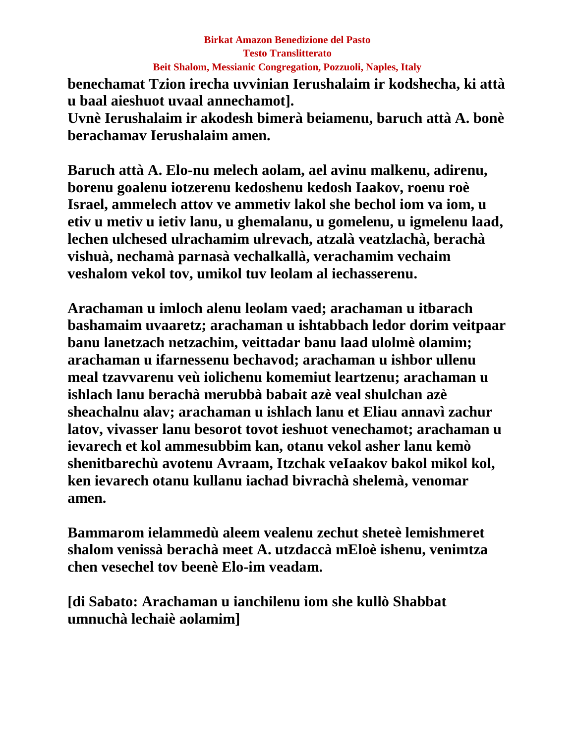## **Birkat Amazon Benedizione del Pasto Testo Translitterato Beit Shalom, Messianic Congregation, Pozzuoli, Naples, Italy**

**benechamat Tzion irecha uvvinian Ierushalaim ir kodshecha, ki attà u baal aieshuot uvaal annechamot]. Uvnè Ierushalaim ir akodesh bimerà beiamenu, baruch attà A. bonè berachamav Ierushalaim amen.**

**Baruch attà A. Elo-nu melech aolam, ael avinu malkenu, adirenu, borenu goalenu iotzerenu kedoshenu kedosh Iaakov, roenu roè Israel, ammelech attov ve ammetiv lakol she bechol iom va iom, u etiv u metiv u ietiv lanu, u ghemalanu, u gomelenu, u igmelenu laad, lechen ulchesed ulrachamim ulrevach, atzalà veatzlachà, berachà vishuà, nechamà parnasà vechalkallà, verachamim vechaim veshalom vekol tov, umikol tuv leolam al iechasserenu.**

**Arachaman u imloch alenu leolam vaed; arachaman u itbarach bashamaim uvaaretz; arachaman u ishtabbach ledor dorim veitpaar banu lanetzach netzachim, veittadar banu laad ulolmè olamim; arachaman u ifarnessenu bechavod; arachaman u ishbor ullenu meal tzavvarenu veù iolichenu komemiut leartzenu; arachaman u ishlach lanu berachà merubbà babait azè veal shulchan azè sheachalnu alav; arachaman u ishlach lanu et Eliau annavì zachur latov, vivasser lanu besorot tovot ieshuot venechamot; arachaman u ievarech et kol ammesubbim kan, otanu vekol asher lanu kemò shenitbarechù avotenu Avraam, Itzchak veIaakov bakol mikol kol, ken ievarech otanu kullanu iachad bivrachà shelemà, venomar amen.**

**Bammarom ielammedù aleem vealenu zechut sheteè lemishmeret shalom venissà berachà meet A. utzdaccà mEloè ishenu, venimtza chen vesechel tov beenè Elo-im veadam.**

**[di Sabato: Arachaman u ianchilenu iom she kullò Shabbat umnuchà lechaiè aolamim]**